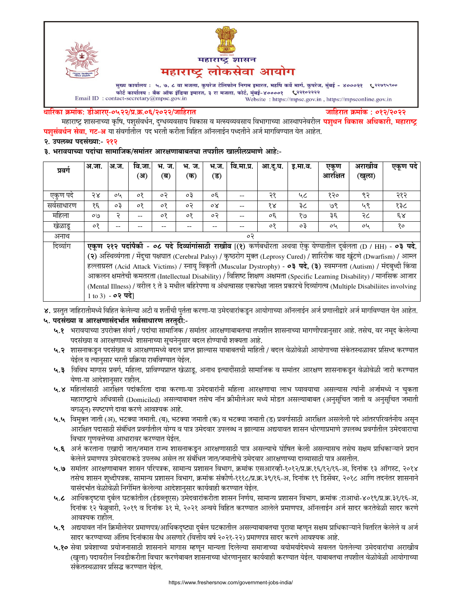



मुख्य कार्यालय : ५, ७, ८ वा मजला, कुपरेज टेलिफोन निगम इमारत, महर्षि कर्वे मार्ग, कुपरेज, मुंबई - ४०००२१ ९२९९९९०० white कार्यालय: बैंक ऑफ इंडिया इमारत, ३ रा मजला, फोर्ट, मुंबई-४००००१ (२२१०२२२२<br>Email ID: contact-secretary@mpsc.gov.in<br>Website: https://mpsc.gov.in Website: https://mpsc.gov.in, https://mpsconline.gov.in

#### धारिका क्रमांक: डीआरए-०५२२/प्र.क्र.०६/२०२२/जाहिरात

जाहिरात क्रमांक : ०१२/२०२२

महाराष्ट्र शासनाच्या कृषि, पशुसंवर्धन, दुग्धव्यवसाय विकास व मत्स्यव्यवसाय विभागाच्या आस्थापनेवरील **पशुधन विकास अधिकारी, महाराष्ट्र पशुसंवर्धन सेवा, गट-अ** या संवर्गातील पद भरती करीता विहित ऑनलाईन पध्दतीने अर्ज मार्गावण्यात येत आहेत.

२. उपलब्ध पदसंख्या:- २१२

३. भरावयाच्या पदांचा सामाजिक/समांतर आरक्षणाबाबतचा तपशील खालीलप्रमाणे आहे:-

| प्रवर्ग    | अ.जा.                                                                                                                          | अ.ज.      | वि.जा. | भ. ज.   | भ. ज.   | भ.ज. | वि.मा.प्र. | आ.दु.घ.              | इ.मा.व. | एकूण    | अराखीव | एकूण पदे     |
|------------|--------------------------------------------------------------------------------------------------------------------------------|-----------|--------|---------|---------|------|------------|----------------------|---------|---------|--------|--------------|
|            |                                                                                                                                |           | (अ)    | (ब)     | (क)     | (ड)  |            |                      |         | आरक्षित | (खुला) |              |
|            |                                                                                                                                |           |        |         |         |      |            |                      |         |         |        |              |
| एकुण पदे   | २४                                                                                                                             | oh        | ०१     | ०२      | oЗ      | oξ   |            | २१                   | ५८      | १२०     | ९२     | २१२          |
| सर्वसाधारण | १६                                                                                                                             | $\circ$ 3 | ०१     | $\circ$ | ०२      | οX   |            | $\delta \mathcal{R}$ | ३८      | 9e      | ५९     | १३८          |
| महिला      | OQ                                                                                                                             | २         | $- -$  | $\circ$ | $\circ$ | ०२   |            | oξ                   | e/8     | ३६      | २८     | $\epsilon$ s |
| खेळाडू     | ०१                                                                                                                             |           |        |         |         |      |            | $\circ$              | оĘ      | oh      | oh     | १०           |
| अनाथ       | ०२                                                                                                                             |           |        |         |         |      |            |                      |         |         |        |              |
| दिव्यांग   | एकूण २१२ पदांपैकी - ०८ पदे दिव्यांगांसाठी राखीव [(१) कर्णबधीरता अथवा ऐकु येण्यातील दुर्बलता (D / HH) - ०३ पदे,                 |           |        |         |         |      |            |                      |         |         |        |              |
|            | (२) अस्थिव्यंगता / मेंदुचा पक्षघात (Cerebral Palsy) / कुष्ठरोग मुक्त (Leprosy Cured) / शारिरीक वाढ खुंटणे (Dwarfism) / आम्ल    |           |        |         |         |      |            |                      |         |         |        |              |
|            | हल्लाग्रस्त (Acid Attack Victims) / स्नायु विकृती (Muscular Dystrophy) - ०३ पदे, (३) स्वमग्नता (Autism) / मंदबुध्दी किंवा      |           |        |         |         |      |            |                      |         |         |        |              |
|            | आकलन क्षमतेची कमतरता (Intellectual Disability) / विशिष्ट शिक्षण अक्षमता (Specific Learning Disability) / मानसिक आजार           |           |        |         |         |      |            |                      |         |         |        |              |
|            | (Mental Illness) / वरील १ ते ३ मधील बहिरेपणा व अंधत्वासह एकापेक्षा जास्त प्रकारचे दिव्यांगत्व (Multiple Disabiliites involving |           |        |         |         |      |            |                      |         |         |        |              |
|            | 1 to 3) - <b>०२ पदे</b> ।                                                                                                      |           |        |         |         |      |            |                      |         |         |        |              |

४. प्रस्तुत जाहिरातीमध्ये विहित केलेल्या अटी व शर्तीची पुर्तता करणा-या उमेदवारांकडून आयोगाच्या ऑनलाईन अर्ज प्रणालीद्वारे अर्ज मार्गावण्यात येत आहेत.

# ५. पदसंख्या व आरक्षणासंदर्भात सर्वसाधारण तरतुदी:-

- ५.१ भरावयाच्या उपरोक्त संवर्ग / पदांचा सामाजिक / समांतर आरक्षणाबाबतचा तपशील शासनाच्या मागणीपत्रानुसार आहे. तसेच, वर नमुद केलेल्या पदसंख्या व आरक्षणामध्ये शासनाच्या सूचनेनुसार बदल होण्याची शक्यता आहे.
- ५.२ शासनाकडून पदसंख्या व आरक्षणामध्ये बदल प्राप्त झाल्यास याबाबतची माहिती / बदल वेळोवेळी आयोगाच्या संकेतस्थळावर प्रसिध्द करण्यात येईल व त्यानुसार भरती प्रक्रिया राबविण्यात येईल.
- ५.३ विविध मागास प्रवर्ग, महिला, प्राविण्यप्राप्त खेळाडू, अनाथ इत्यादींसाठी सामाजिक व समांतर आरक्षण शासनाकडून वेळोवेळी जारी करण्यात येणा-या आदेशानुसार राहील.
- ५.४ महिलांसाठी आरक्षित पदांकरिता दावा करणा-या उमेदवारांनी महिला आरक्षणाचा लाभ घ्यावयाचा असल्यास त्यांनी अर्जामध्ये न चुकता महाराष्ट्राचे अधिवासी (Domiciled) असल्याबाबत तसेच नॉन क्रीमीलेअर मध्ये मोडत असल्याबाबत (अनुसूचित जाती व अनुसूचित जमाती वगळून) स्पष्टपणे दावा करणे आवश्यक आहे.
- ५.५ विमुक्त जाती (अ), भटक्या जमाती. (ब), भटक्या जमाती (क) व भटक्या जमाती (ड) प्रवर्गासाठी आरक्षित असलेली पदे आंतरपरिवर्तनीय असून आरक्षित पदासाठी संबंधित प्रवर्गातील योग्य व पात्र उमेदवार उपलब्ध न झाल्यास अद्ययावत शासन धोरणाप्रमाणे उपलब्ध प्रवर्गातील उमेदवाराचा विचार गणवत्तेच्या आधारावर करण्यात येईल.
- ५.६ अर्ज करताना एखादी जात/जमात राज्य शासनाकडून आरक्षणासाठी पात्र असल्याचे घोषित केली असल्यासच तसेच सक्षम प्राधिकाऱ्याने प्रदान केलेले प्रमाणपत्र उमेदवाराकडे उपलब्ध असेल तर संबंधित जात/जमातीचे उमेदवार आरक्षणाच्या दाव्यासाठी पात्र असतील.
- ५.७ समांतर आरक्षणाबाबत शासन परिपत्रक, सामान्य प्रशासन विभाग, क्रमांक एसआरव्ही-१०१२/प्र.क्र.१६/१२/१६-अ, दिनांक १३ ऑगस्ट, २०१४ तसेच शासन शुध्दीपत्रक, सामान्य प्रशासन विभाग, क्रमांक संकीर्ण-१११८/प्र.क्र.३९/१६-अ, दिनांक १९ डिसेंबर, २०१८ आणि तदनंतर शासनाने यासंदर्भात वेळोवेळी निर्गमित केलेल्या आदेशानुसार कार्यवाही करण्यात येईल.
- ५.८ आर्थिकदृष्टया दुर्बल घटकांतील (ईडब्लूएस) उमेदवारांकरीता शासन निर्णय, सामान्य प्रशासन विभाग, क्रमांक :राआधो-४०१९/प्र.क्र.३१/१६-अ, दिनांक १२ फेब्रुवारी, २०१९ व दिनांक ३१ मे, २०२१ अन्वये विहित करण्यात आलेले प्रमाणपत्र, ऑनलाईन अर्ज सादर करतेवेळी सादर करणे आवश्यक राहील.
- ५.९ अद्ययावत नॉन क्रिमीलेयर प्रमाणपत्र/आर्थिकदृष्ट्या दुर्बल घटकातील असल्याबाबतचा पुरावा म्हणून सक्षम प्राधिकाऱ्याने वितरित केलेले व अर्ज सादर करण्याच्या अंतिम दिनांकास वैध असणारे (वित्तीय वर्ष २०२१-२२) प्रमाणपत्र सादर करणे आवश्यक आहे.
- ५.१० सेवा प्रवेशाच्या प्रयोजनासाठी शासनाने मागास म्हणून मान्यता दिलेल्या समाजाच्या वयोमर्यादेमध्ये सवलत घेतलेल्या उमेदवारांचा अराखीव (खुला) पदावरील निवडीकरीता विचार करणेबाबत शासनाच्या धोरणानुसार कार्यवाही करण्यात येईल. याबाबतचा तपशील वेळोवेळी आयोगाच्या संकेतस्थळावर प्रसिद्ध करण्यात येईल.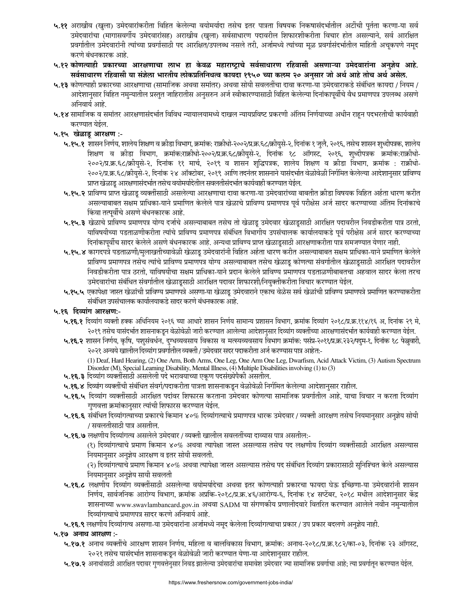- ५.११ अराखीव (खुला) उमेदवारांकरीता विहित केलेल्या वयोमर्यादा तसेच इतर पात्रता विषयक निकषासंदर्भातील अटींची पुर्तता करणा-या सर्व उमेदवारांचा (मागासवर्गीय उमेदवारांसह) अराखीव (खुला) सर्वसाधारण पदावरील शिफारशीकरीता विचार होत असल्याने, सर्व आरक्षित प्रवर्गातील उमेदवारांनी त्यांच्या प्रवर्गासाठी पद आरक्षित/उपलब्ध नसले तरी, अर्जामध्ये त्यांच्या मूळ प्रवर्गासंदर्भातील माहिती अचूकपणे नमूद करणे बंधनकारक आहे.
- ५.१२ कोणत्याही प्रकारच्या आरक्षणाचा लाभ हा केवळ महाराष्ट्राचे सर्वसाधारण रहिवासी असणाऱ्या उमेदवारांना अनुज्ञेय आहे. सर्वसाधारण रहिवासी या संज्ञेला भारतीय लोकप्रतिनिधत्व कायदा १९५० च्या कलम २० अनुसार जो अर्थ आहे तोच अर्थ असेल.
- ५.१३ कोणत्याही प्रकारच्या आरक्षणाचा (सामाजिक अथवा समांतर) अथवा सोयी सवलतींचा दावा करणा-या उमेदवाराकडे संबंधित कायदा / नियम / आदेशानुसार विहित नमुन्यातील प्रस्तुत जाहिरातीस अनुसरुन अर्ज स्वीकारण्यासाठी विहित केलेल्या दिनांकापूर्वीचे वैध प्रमाणपत्र उपलब्ध असणे अनिवार्य आहे.
- ५.१४ सामाजिक व समांतर आरक्षणासंदर्भात विविध न्यायालयामध्ये दाखल न्यायप्रविष्ट प्रकरणी अंतिम निर्णयाच्या अधीन राहून पदभरतीची कार्यवाही करण्यात येईल.
- ५.१५ खेळाडू आरक्षण :-
	- ५.१५.१ शासन निर्णय, शालेय शिक्षण व क्रीडा विभाग, क्रमांक: राक्रीधो-२००२/प्र.क्र.६८/क्रीयुसे-२, दिनांक १ जुलै, २०१६, तसेच शासन शुध्दीपत्रक, शालेय शिक्षण व क्रीडा विभाग, क्रमांक:राक्रीधो-२००२/प्र.क.६८/क्रीयुसे-२, दिनांक १८ ऑगस्ट, २०१६, शुध्दीपत्रक क्रमांक:राक्रीधो-२००२/प्र.क्र.६८/क्रीयुसे-२, दिनांक ११ मार्च, २०१९ व शासन शुद्धिपत्रक, शालेय शिक्षण व क्रीडा विभाग, क्रमांक : राक्रीधो-२००२/प्र.क्र.६८/क्रीयुसे-२, दिनांक २४ ऑक्टोबर, २०१९ आणि तदनंतर शासनाने यासंदर्भात वेळोवेळी निर्गमित केलेल्या आदेशानुसार प्राविण्य प्राप्त खेळाडू आरक्षणासंदर्भात तसेच वयोमर्यादेतील सवलतीसंदर्भात कार्यवाही करण्यात येईल.
	- ५.१५.२ प्राविण्य प्राप्त खेळाडू व्यक्तींसाठी असलेल्या आरक्षणाचा दावा करणा-या उमेदवारांच्या बाबतीत क्रीडा विषयक विहित अर्हता धारण करीत असल्याबाबत सक्षम प्राधिका-याने प्रमाणित केलेले पात्र खेळाचे प्राविण्य प्रमाणपत्र पूर्व परीक्षेस अर्ज सादर करण्याच्या अंतिम दिनांकाचे किंवा तत्पूर्वीचे असणे बंधनकारक आहे.
	- ५.१५.३ खेळाचे प्राविण्य प्रमाणपत्र योग्य दर्जाचे असल्याबाबत तसेच तो खेळाडू उमेदवार खेळाडूसाठी आरक्षित पदावरील निवडीकरीता पात्र ठरतो, याविषयीच्या पडताळणीकरीता त्यांचे प्राविण्य प्रमाणपत्र संबंधित विभागीय उपसंचालक कार्यालयाकडे पूर्व परीक्षेस अर्ज सादर करण्याच्या दिनांकापूर्वीच सादर केलेले असणे बंधनकारक आहे. अन्यथा प्राविण्य प्राप्त खेळाडूसाठी आरक्षणाकरीता पात्र समजण्यात येणार नाही.
	- ५.१५.४ कागदपत्रे पडताळणी/मुलाखतीच्यावेळी खेळाडू उमेदवारांनी विहित अर्हता धारण करीत असल्याबाबत सक्षम प्राधिका-याने प्रमाणित केलेले प्राविण्य प्रमाणपत्र तसेच त्यांचे प्राविण्य प्रमाणपत्र योग्य असल्याबाबत तसेच खेळाडू कोणत्या संवर्गातील खेळाडूसाठी आरक्षित पदावरील निवडीकरीता पात्र ठरतो, याविषयीचा सक्षम प्राधिका-याने प्रदान केलेले प्राविण्य प्रमाणपत्र पडताळणीबाबतचा अहवाल सादर केला तरच उमेदवारांचा संबंधित संवर्गातील खेळाडूसाठी आरक्षित पदावर शिफारशी/नियुक्तीकरीता विचार करण्यात येईल.
	- ५.१५.५ एकापेक्षा जास्त खेळांची प्राविण्य प्रमाणपत्रे असणा-या खेळाडू उमेदवाराने एकाच वेळेस सर्व खेळांची प्राविण्य प्रमाणपत्रे प्रमाणित करण्याकरीता संबंधित उपसंचालक कार्यालयाकडे सादर करणे बंधनकारक आहे.
- ५.१६ दिव्यांग आरक्षण:-
	- ५.१६.१ दिव्यांग व्यक्ती हक्क अधिनियम २०१६ च्या आधारे शासन निर्णय सामान्य प्रशासन विभाग, क्रमांक दिव्यांग २०१८/प्र.क्र.११४/१६ अ, दिनांक २९ मे, २०१९ तसेच यासंदर्भात शासनाकडून वेळोवेळी जारी करण्यात आलेल्या आदेशानुसार दिव्यांग व्यक्तींच्या आरक्षणासंदर्भात कार्यवाही करण्यात येईल.
	- ५.१६.२ शासन निर्णय, कृषि, पशुसंवर्धन, दुग्धव्यवसाय विकास व मत्स्यव्यवसाय विभाग क्रमांक: पसंप्र-२०११/प्र.क्र.२३२/पदुम-१, दिनांक १८ फेब्रुवारी, २०२१ अन्वये खालील दिव्यांग प्रवर्गातील व्यक्ती / उमेदवार सदर पदाकरीता अर्ज करण्यास पात्र आहेत:-

(1) Deaf, Hard Hearing, (2) One Arm, Both Arms, One Leg, One Arm One Leg, Dwarfism, Acid Attack Victim, (3) Autism Spectrum Disorder (M), Special Learning Disability, Mental Illness, (4) Multiple Disabilities involving (1) to (3)

- ५.१६.३ दिव्यांग व्यक्तींसाठी असलेली पदे भरावयाच्या एकूण पदसंख्येपैकी असतील.
- ५.१६.४ दिव्यांग व्यक्तींची संबंधित संवर्ग/पदाकरीता पात्रता शासनाकडून वेळोवेळी निर्गमित केलेल्या आदेशानुसार राहील.
- ५.१६.५ दिव्यांग व्यक्तींसाठी आरक्षित पदांवर शिफारस करताना उमेदवार कोणत्या सामाजिक प्रवर्गातील आहे, याचा विचार न करता दिव्यांग गुणवत्ता क्रमांकानुसार त्यांची शिफारस करण्यात येईल.
- ५.१६.६ संबंधित दिव्यांगत्वाच्या प्रकारचे किमान ४०% दिव्यांगत्वाचे प्रमाणपत्र धारक उमेदवार / व्यक्ती आरक्षण तसेच नियमानुसार अनुज्ञेय सोयी / सवलतीसाठी पात्र असतील.
- ५.१६.७ लक्षणीय दिव्यांगत्व असलेले उमेदवार / व्यक्ती खालील सवलतींच्या दाव्यास पात्र असतील:-

(१) दिव्यांगत्वाचे प्रमाण किमान ४०% अथवा त्यापेक्षा जास्त असल्यास तसेच पद लक्षणीय दिव्यांग व्यक्तींसाठी आरक्षित असल्यास नियमानुसार अनुज्ञेय आरक्षण व इतर सोयी सवलती.

(२) दिव्यांगत्याचे प्रमाण किमान ४०% अथवा त्यापेक्षा जास्त असल्यास तसेच पद संबंधित दिव्यांग प्रकारासाठी सुनिश्चित केले असल्यास नियमानुसार अनुज्ञेय सायी सवलती

- ५.१६.८ लक्षणीय दिव्यांग व्यक्तींसाठी असलेल्या वयोमर्यादेचा अथवा इतर कोणत्याही प्रकारचा फायदा घेऊ इच्छिणा-या उमेदवारांनी शासन निर्णय, सार्वजनिक आरोग्य विभाग, क्रमांक अप्रकि-२०१८/प्र.क्र.४६/आरोग्य-६, दिनांक १४ सप्टेंबर, २०१८ मधील आदेशानुसार केंद्र शासनाच्या www.swavlambancard.gov.in अथवा SADM या संगणकीय प्रणालीदवारे वितरित करण्यात आलेले नवीन नमन्यातील दिव्यांगत्वाचे प्रमाणपत्र सादर करणे अनिवार्य आहे.
- ५.१६.९ लक्षणीय दिव्यांगत्व असणा-या उमेदवारांना अर्जामध्ये नमूद केलेला दिव्यांगत्वाचा प्रकार / उप प्रकार बदलणे अनुज्ञेय नाही.

५.१७ अनाथ आरक्षण :-

- ५.१७.१ अनाथ व्यक्तींचे आरक्षण शासन निर्णय, महिला व बालविकास विभाग, क्रमांक: अनाथ-२०१८/प्र.क्र.१८२/का-०३, दिनांक २३ ऑगस्ट, २०२१ तसेच यासंदर्भात शासनाकडून वेळोवेळी जारी करण्यात येणा-या आदेशानुसार राहील.
- ५.१७.२ अनाथांसाठी आरक्षित पदावर गुणवत्तेनुसार निवड झालेल्या उमेदवारांचा समावेश उमेदवार ज्या सामाजिक प्रवर्गाचा आहे; त्या प्रवर्गातून करण्यात येईल.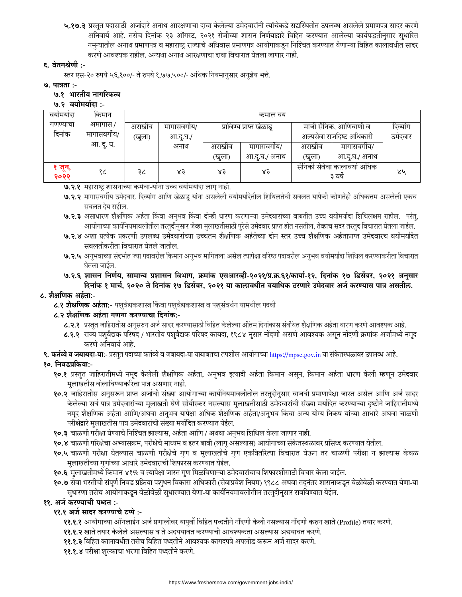५.१७.३ प्रस्तुत पदासाठी अर्जाद्वारे अनाथ आरक्षणाचा दावा केलेल्या उमेदवारांनी त्यांचेकडे सद्यस्थितीत उपलब्ध असलेले प्रमाणपत्र सादर करणे अनिवार्य आहे. तसेच दिनांक २३ ऑगस्ट, २०२१ रोजीच्या शासन निर्णयाद्वारे विहित करण्यात आलेल्या कार्यपद्धतीनुसार सुधारित नमुन्यातील अनाथ प्रमाणपत्र व महाराष्ट्र राज्याचे अधिवास प्रमाणपत्र आयोगाकडून निश्चित करण्यात येणाऱ्या विहित कालावधीत सादर करणे आवश्यक राहील. अन्यथा अनाथ आरक्षणाचा दावा विचारात घेतला जाणार नाही.

## ६. वेतनश्रेणी :-

स्तर एस-२० रुपये ५६,१००/- ते रुपये १,७७,५००/- अधिक नियमानुसार अनुज्ञेय भत्ते.

#### **७. पात्रता :-**

#### ७.१ भारतीय नागरिकत्व

#### ७.२ वयोमर्यादा :-

| वयामयादा       | किमान      | कमाल वय |            |        |                          |                                      |               |         |  |
|----------------|------------|---------|------------|--------|--------------------------|--------------------------------------|---------------|---------|--|
| गणण्याचा       | अमागास /   | अराखीव  | मागासवगीय/ |        | प्राविण्य प्राप्त खेळाडू | माजी सैनिक, आणिबाणी व                | दिव्यांग      |         |  |
| दिनांक         | मागासवगीय/ | (खुला)  | आ.दू.घ./   |        |                          | अल्पसेवा राजदिष्ट अधिकारी            |               | उमेदवार |  |
|                | आ. दू. घ.  |         | अनाथ       | अराखीव | मागासवगीय/               | अराखांव                              | मागासवगीय/    |         |  |
|                |            |         |            | (खुला) | आ.दु.घ./ अनाथ            | (खुला)                               | आ.दु.घ./ अनाथ |         |  |
| १ जून,<br>२०२२ | १८         | ३८      | ४३         | $x_3$  | ४३                       | सैनिकी सेवेचा कालावधी अधिक<br>३ वर्ष |               | ४५      |  |

**७.२.१** महाराष्ट्र शासनाच्या कर्मचा-यांना उच्च वयोमयोदा लागू नाही.

७.२.२ मागासवर्गीय उमेदवार, दिव्यांग आणि खेळाडू यांना असलेली वयोमर्यादेतील शिथिलतेची सवलत यापैकी कोणतेही अधिकत्तम असलेली एकच सवलत देय राहील.

७.२.३ असाधारण शैक्षणिक अर्हता किंवा अनुभव किंवा दोन्ही धारण करणाऱ्या उमेदवारांच्या बाबतीत उच्च वयोमर्यादा शिथिलक्षम राहील. परंतु, आयोगाच्या कार्यनियमावलीतील तरतुदीनुसार जेव्हा मुलाखतीसाठी पुरेसे उमेदवार प्राप्त होत नसतील, तेव्हाच सदर तरतुद विचारात घेतला जाईल.

- ७.२.४ अशा प्रत्येक प्रकरणी उपलब्ध उमेदवारांच्या उच्चतम शैक्षणिक अर्हतेच्या दोन स्तर उच्च शैक्षणिक अर्हताप्राप्त उमेदवारच वयोमर्यादेत सवलतीकरीता विचारात घेतले जातील.
- ७.२.५ अनुभवाच्या संदर्भात ज्या पदावरील किमान अनुभव मागितला असेल त्यापेक्षा वरिष्ठ पदावरील अनुभव वयोमर्यादा शिथिल करण्याकरीता विचारात घेतला जाईल.

७.२.६ शासन निर्णय, सामान्य प्रशासन विभाग, क्रमांक एसआरव्ही-२०२१/प्र.क्र.६१/कार्या-१२, दिनांक १७ डिसेंबर, २०२१ अनुसार दिनांक १ मार्च, २०२० ते दिनांक १७ डिसेंबर, २०२१ या कालावधीत वयाधिक ठरणारे उमेदवार अर्ज करण्यास पात्र असतील.

### ८. शैक्षणिक अर्हता:-

**८.१ शैक्षणिक अर्हता:**- पशुवैद्यकशास्त्र किंवा पशुवैद्यकशास्त्र व पशुसंवर्धन यामधील पदवी

# ८.२ शैक्षणिक अर्हता गणना करण्याचा दिनांक:-

- ८.२.१ प्रस्तुत जाहिरातीस अनुसरुन अर्ज सादर करण्यासाठी विहित केलेल्या अंतिम दिनांकास संबंधित शैक्षणिक अर्हता धारण करणे आवश्यक आहे.
- ८.२.२ राज्य पशुवैद्यक परिषद / भारतीय पशुवैद्यक परिषद कायदा, १९८४ नुसार नोंदणी असणे आवश्यक असून नोंदणी क्रमांक अर्जामध्ये नमूद करणे अनिवार्य आहे.

**९. कर्तव्ये व जबाबदा-या**:- प्रस्तुत पदाच्या कर्तव्ये व जबाबदा-या याबाबतचा तपशील आयोगाच्या <u>https://mpsc.gov.in</u> या संकेतस्थळावर उपलब्ध आहे.

# १०. निवडप्रकिया:-

- १०.१ प्रस्तुत जाहिरातीमध्ये नमूद केलेली शैक्षणिक अर्हता, अनुभव इत्यादी अर्हता किमान असून, किमान अर्हता धारण केली म्हणून उमेदवार मुलाखतीस बोलाविण्याकरिता पात्र असणार नाही.
- १०.२ जाहिरातीस अनुसरून प्राप्त अर्जाची संख्या आयोगाच्या कार्यनियमावलीतील तरतुदीनुसार वाजवी प्रमाणापेक्षा जास्त असेल आणि अर्ज सादर केलेल्या सर्व पात्र उमेदवारांच्या मुलाखती घेणे सोयीस्कर नसल्यास मुलाखतीसाठी उमेदवारांची संख्या मर्यादित करण्याच्या दृष्टीने जाहिरातीमध्ये नमूद शैक्षणिक अर्हता आणि/अथवा अनुभव यापेक्षा अधिक शैक्षणिक अर्हता/अनुभव किंवा अन्य योग्य निकष यांच्या आधारे अथवा चाळणी परीक्षेद्वारे मुलाखतीस पात्र उमेदवारांची संख्या मर्यादित करण्यात येईल.
- १०.३ चाळणी परीक्षा घेण्याचे निश्चित झाल्यास, अर्हता आणि / अथवा अनुभव शिथिल केला जाणार नाही.
- १०.४ चाळणी परिक्षेचा अभ्यासक्रम, परीक्षेचे माध्यम व इतर बाबी (लागू असल्यास) आयोगाच्या संकेतस्थळावर प्रसिध्द करण्यात येतील.
- १०.५ चाळणी परीक्षा घेतल्यास चाळणी परीक्षेचे गुण व मुलाखतीचे गुण एकत्रितरित्या विचारात घेऊन तर चाळणी परीक्षा न झाल्यास केवळ मुलाखतीच्या गुणांच्या आधारे उमेदवाराची शिफारस करण्यात येईल.
- १०.६ मुलाखतीमध्ये किमान ४१% व त्यापेक्षा जास्त गुण मिळविणाऱ्या उमेदवारांचाच शिफारशीसाठी विचार केला जाईल.
- १०.७ सेवा भरतीची संपूर्ण निवड प्रक्रिया पशुधन विकास अधिकारी (सेवाप्रवेश नियम) १९८८ अथवा तद्नंतर शासनाकडून वेळोवेळी करण्यात येणा-या सुधारणा तसेच आयोगाकडून वेळोवेळी सुधारण्यात येणा-या कार्यानयमावलीतील तरतुदीनुसार राबविण्यात येईल.

### ११. अर्ज करण्याची पध्दत :-

# ११.१ अर्ज सादर करण्याचे टप्पे :-

- ११.१.१ आयोगाच्या ऑनलाईन अर्ज प्रणालीवर यापुर्वी विहित पध्दतीने नोंदणी केली नसल्यास नोंदणी करुन खाते (Profile) तयार करणे.
- ११.१.२ खाते तयार केलेले असल्यास व ते अदययावत करण्याची आवश्यकता असल्यास अद्ययावत करणे.
- ११.१.३ विहित कालावधीत तसेच विहित पध्दतीने आवश्यक कागदपत्रे अपलोड करून अर्ज सादर करणे.
- ११.१.४ परीक्षा शुल्काचा भरणा विहित पध्दतीने करणे.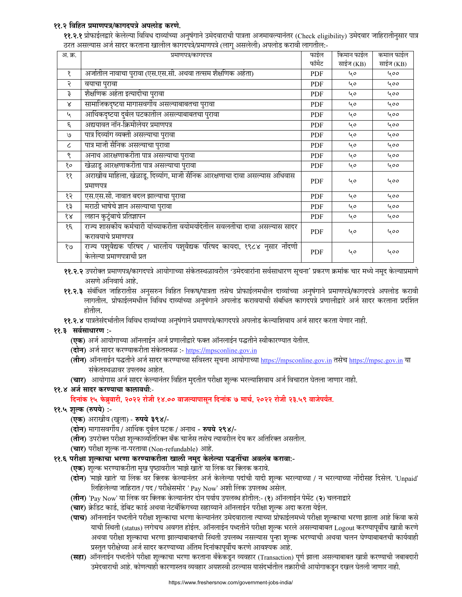## ११.२ विहित प्रमाणपत्र/कागदपत्रे अपलोड करणे.

**११.२.१** प्रोफाईलद्वारे केलेल्या विविध दाव्यांच्या अनुषंगाने उमेदवाराची पात्रता अजमावल्यानंतर (Check eligibility) उमेदवार जाहिरातीनुसार पात्र ठरत असल्यास अर्ज सादर करताना खालील कागदपत्रे/प्रमाणपत्रे (लागु असलेली) अपलोड करावी लागतील:-

| अ. क्र.              | प्रमाणपत्र/कागदपत्र                                                                                    | फाईल       | किमान फाईल | कमाल फाईल |
|----------------------|--------------------------------------------------------------------------------------------------------|------------|------------|-----------|
|                      |                                                                                                        | फॉर्मेट    | साईज (KB)  | साईज (KB) |
| १                    | अर्जातील नावाचा पुरावा (एस.एस.सी. अथवा तत्सम शैक्षणिक अर्हता)                                          | <b>PDF</b> | 40         | 400       |
| २                    | वयाचा पुरावा                                                                                           | <b>PDF</b> | 40         | 400       |
| ३                    | शैक्षणिक अर्हता इत्यादीचा पुरावा                                                                       | <b>PDF</b> | 40         | 400       |
| Χ                    | सामाजिकदृष्टया मागासवर्गीय असल्याबाबतचा पुरावा                                                         | <b>PDF</b> | 40         | 400       |
| ५                    | आर्थिकदृष्टया दुर्बल घटकातील असल्याबाबतचा पुरावा                                                       | <b>PDF</b> | 40         | 400       |
| $\epsilon$           | अद्ययावत नॉन-क्रिमीलेयर प्रमाणपत्र                                                                     | <b>PDF</b> | 40         | 400       |
| ٯا                   | पात्र दिव्यांग व्यक्ती असल्याचा पुरावा                                                                 | <b>PDF</b> | 40         | 400       |
| ८                    | पात्र माजी सैनिक असल्याचा पुरावा                                                                       | <b>PDF</b> | 40         | 400       |
| ९                    | अनाथ आरक्षणाकरीता पात्र असल्याचा पुरावा                                                                | <b>PDF</b> | 40         | 400       |
| १०                   | खेळाडू आरक्षणाकरीता पात्र असल्याचा पुरावा                                                              | <b>PDF</b> | 40         | 400       |
| ११                   | अराखीव माहिला, खेळाडू, दिव्यांग, माजी सैनिक आरक्षणाचा दावा असल्यास अधिवास<br>प्रमाणपत्र                | <b>PDF</b> | ५०         | 400       |
| १२                   | एस.एस.सी. नावात बदल झाल्याचा पुरावा                                                                    | <b>PDF</b> | 40         | 400       |
| १३                   | मराठी भाषेचे ज्ञान असल्याचा पुरावा                                                                     | <b>PDF</b> | 40         | 400       |
| $\delta \mathcal{R}$ | लहान कुटुंबाचे प्रतिज्ञापन                                                                             | <b>PDF</b> | 40         | 400       |
| १६                   | राज्य शासकीय कर्मचारी यांच्याकरीता वयोमर्यादेतील सवलतीचा दावा असल्यास सादर<br>करावयाचे प्रमाणपत्र      | <b>PDF</b> | 40         | 400       |
| १७                   | राज्य पशुवैद्यक परिषद / भारतीय पशुवैद्यक परिषद कायदा, १९८४ नुसार नोंदणी<br>केलेल्या प्रमाणपत्राची प्रत | <b>PDF</b> | 40         | 400       |

- ११.२.२ उपरोक्त प्रमाणपत्र/कागदपत्रे आयोगाच्या संकेतस्थळावरील 'उमेदवारांना सर्वसाधारण सूचना' प्रकरण क्रमांक चार मध्ये नमूद केल्याप्रमाणे असणे अनिवार्य आहे.
- ११.२.३ संबंधित जाहिरातीस अनुसरुन विहित निकष/पात्रता तसेच प्रोफाईलमधील दाव्यांच्या अनुषंगाने प्रमाणपत्रे/कागदपत्रे अपलोड करावी लागतील. प्रोफाईलमधील विविध दाव्यांच्या अनुषंगाने अपलोड करावयाची संबधित कागदपत्रे प्रणालीद्वारे अर्ज सादर करताना प्रदर्शित होतील.
- ११.२.४ पात्रतेसंदर्भातील विविध दाव्यांच्या अनुषंगाने प्रमाणपत्रे/कागदपत्रे अपलोड केल्याशिवाय अर्ज सादर करता येणार नाही.

### ११.३ सर्वसाधारण :-

- (एक) अर्ज आयोगाच्या ऑनलाईन अर्ज प्रणालीद्वारे फक्त ऑनलाईन पद्धतीने स्वीकारण्यात येतील.
- (दोन) अर्ज सादर करण्याकरीता संकेतस्थळ :- https://mpsconline.gov.in
- (तीन) ऑनलाईन पद्धतीने अर्ज सादर करण्याच्या सविस्तर सूचना आयोगाच्या https://mpsconline.gov.in तसेच https://mpsc.gov.in या संकेतस्थळावर उपलब्ध आहेत.
- (चार) आयोगास अर्ज सादर केल्यानंतर विहित मुदतीत परीक्षा शुल्क भरल्याशिवाय अर्ज विचारात घेतला जाणार नाही.

### ११.४ अर्ज सादर करण्याचा कालावधीः-

दिनांक १५ फेब्रुवारी, २०२२ रोजी १४.०० वाजल्यापासून दिनांक ७ मार्च, २०२२ रोजी २३.५९ वाजेपर्यंत.

### ११.५ शुल्क (रुपये) :-

- (एक) अराखीव (खुला) रुपये ३९४/-
- (दोन) मागासवर्गीय / आर्थिक दुर्बल घटक / अनाथ रुपये २९४/-
- (**तीन)** उपरोक्त परीक्षा शुल्काव्यतिरिक्त बँक चार्जेस तसेच त्यावरील देय कर अतिरिक्त असतील.
- (चार) परीक्षा शुल्क ना-परतावा (Non-refundable) आहे.
- ११.६ परीक्षा शुल्काचा भरणा करण्याकरीता खाली नमूद केलेल्या पद्धतींचा अवलंब करावा:-
	- (एक) शुल्क भरण्याकरीता मुख पृष्ठावरील 'माझे खाते' या लिंक वर क्लिक करावे.
	- (**दोन**) 'माझे खाते' या लिंक वर क्लिक केल्यानंतर अर्ज केलेल्या पदांची यादी शुल्क भरल्याच्या / न भरल्याच्या नोंदीसह दिसेल. 'Unpaid' लिहिलेल्या जाहिरात / पद / परीक्षेसमोर ' Pay Now' अशी लिंक उपलब्ध असेल.
	- (तीन) 'Pay Now' या लिंक वर क्लिक केल्यानंतर दोन पर्याय उपलब्ध होतील:- (१) ऑनलाईन पेमेंट (२) चलनाद्वारे
	- (चार) क्रेडिट कार्ड, डेबिट कार्ड अथवा नेटबँकिंगच्या सहाय्याने ऑनलाईन परीक्षा शुल्क अदा करता येईल.
	- (**पाच**) ऑनलाईन पध्दतीने परीक्षा शुल्काचा भरणा केल्यानंतर उमेदवाराला त्याच्या प्रोफाईलमध्ये परीक्षा शुल्काचा भरणा झाला आहे किंवा कसे याची स्थिती (status) लगेचच अवगत होईल. ऑनलाईन पध्दतीने परीक्षा शुल्क भरले असल्याबाबत Logout करण्यापूर्वीच खात्री करणे अथवा परीक्षा शुल्काचा भरणा झाल्याबाबतची स्थिती उपलब्ध नसल्यास पुन्हा शुल्क भरण्याची अथवा चलन घेण्याबाबतची कार्यवाही प्रस्तुत परीक्षेच्या अर्ज सादर करण्याच्या अंतिम दिनांकापूर्वीच करणे आवश्यक आहे.
	- (सहा) ऑनलाईन पध्दतीने परीक्षा शुल्काचा भरणा करताना बँकेकडून व्यवहार (Transaction) पूर्ण झाला असल्याबाबत खात्री करण्याची जबाबदारी उमेदवाराची आहे. कोणत्याही कारणास्तव व्यवहार अयशस्वी ठरल्यास यासंदर्भातील तक्रारीची आयोगाकडून दखल घेतली जाणार नाही.